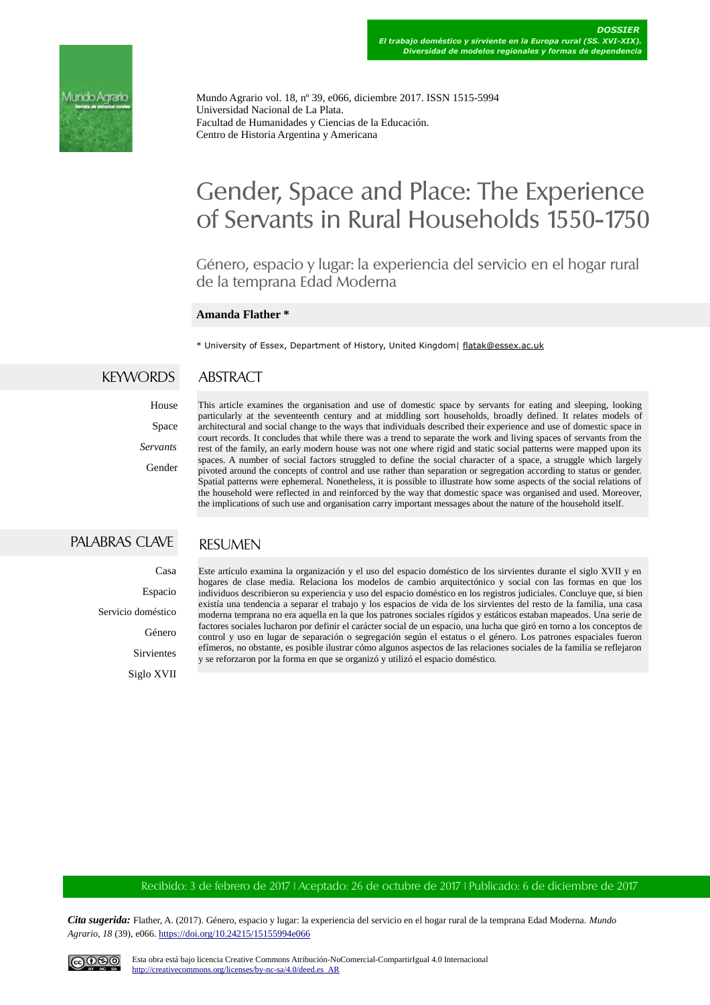

Mundo Agrario vol. 18, nº 39, e066, diciembre 2017. ISSN 1515-5994 Universidad Nacional de La Plata. Facultad de Humanidades y Ciencias de la Educación. Centro de Historia Argentina y Americana

# Gender, Space and Place: The Experience of Servants in Rural Households 1550-1750

Género, espacio y lugar: la experiencia del servicio en el hogar rural de la temprana Edad Moderna

#### **Amanda Flather \***

\* University of Essex, Department of History, United Kingdom| [flatak@essex.ac.uk](mailto:flatak@essex.ac.uk)

#### KEYWORDS ABSTRACT

# House Space *Servants* Gender

This article examines the organisation and use of domestic space by servants for eating and sleeping, looking particularly at the seventeenth century and at middling sort households, broadly defined. It relates models of architectural and social change to the ways that individuals described their experience and use of domestic space in court records. It concludes that while there was a trend to separate the work and living spaces of servants from the rest of the family, an early modern house was not one where rigid and static social patterns were mapped upon its spaces. A number of social factors struggled to define the social character of a space, a struggle which largely pivoted around the concepts of control and use rather than separation or segregation according to status or gender. Spatial patterns were ephemeral. Nonetheless, it is possible to illustrate how some aspects of the social relations of the household were reflected in and reinforced by the way that domestic space was organised and used. Moreover, the implications of such use and organisation carry important messages about the nature of the household itself.

## PALABRAS CLAVE

### **RESUMEN**

Casa

Espacio

Servicio doméstico

Género

Sirvientes Siglo XVII Este artículo examina la organización y el uso del espacio doméstico de los sirvientes durante el siglo XVII y en hogares de clase media. Relaciona los modelos de cambio arquitectónico y social con las formas en que los individuos describieron su experiencia y uso del espacio doméstico en los registros judiciales. Concluye que, si bien existía una tendencia a separar el trabajo y los espacios de vida de los sirvientes del resto de la familia, una casa moderna temprana no era aquella en la que los patrones sociales rígidos y estáticos estaban mapeados. Una serie de factores sociales lucharon por definir el carácter social de un espacio, una lucha que giró en torno a los conceptos de control y uso en lugar de separación o segregación según el estatus o el género. Los patrones espaciales fueron efímeros, no obstante, es posible ilustrar cómo algunos aspectos de las relaciones sociales de la familia se reflejaron y se reforzaron por la forma en que se organizó y utilizó el espacio doméstico.

#### Recibido: 3 de febrero de 2017 | Aceptado: 26 de octubre de 2017 | Publicado: 6 de diciembre de 2017

*Cita sugerida:* Flather, A. (2017). Género, espacio y lugar: la experiencia del servicio en el hogar rural de la temprana Edad Moderna. *Mundo Agrario, 18* (39), e066.<https://doi.org/10.24215/15155994e066>

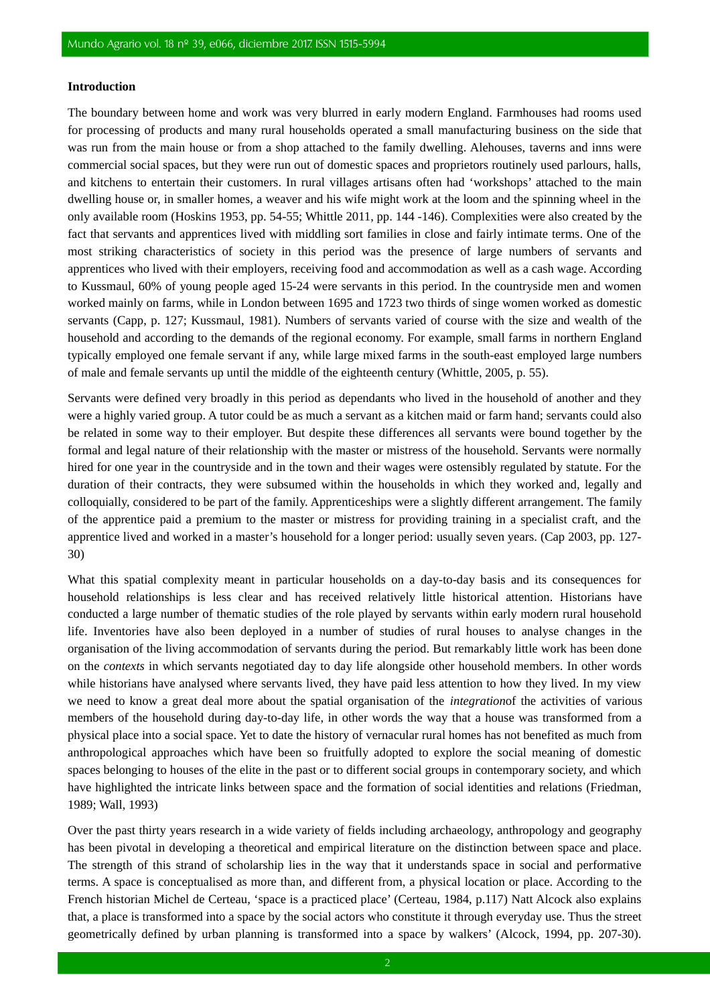#### **Introduction**

The boundary between home and work was very blurred in early modern England. Farmhouses had rooms used for processing of products and many rural households operated a small manufacturing business on the side that was run from the main house or from a shop attached to the family dwelling. Alehouses, taverns and inns were commercial social spaces, but they were run out of domestic spaces and proprietors routinely used parlours, halls, and kitchens to entertain their customers. In rural villages artisans often had 'workshops' attached to the main dwelling house or, in smaller homes, a weaver and his wife might work at the loom and the spinning wheel in the only available room (Hoskins 1953, pp. 54-55; Whittle 2011, pp. 144 -146). Complexities were also created by the fact that servants and apprentices lived with middling sort families in close and fairly intimate terms. One of the most striking characteristics of society in this period was the presence of large numbers of servants and apprentices who lived with their employers, receiving food and accommodation as well as a cash wage. According to Kussmaul, 60% of young people aged 15-24 were servants in this period. In the countryside men and women worked mainly on farms, while in London between 1695 and 1723 two thirds of singe women worked as domestic servants (Capp, p. 127; Kussmaul, 1981). Numbers of servants varied of course with the size and wealth of the household and according to the demands of the regional economy. For example, small farms in northern England typically employed one female servant if any, while large mixed farms in the south-east employed large numbers of male and female servants up until the middle of the eighteenth century (Whittle, 2005, p. 55).

Servants were defined very broadly in this period as dependants who lived in the household of another and they were a highly varied group. A tutor could be as much a servant as a kitchen maid or farm hand; servants could also be related in some way to their employer. But despite these differences all servants were bound together by the formal and legal nature of their relationship with the master or mistress of the household. Servants were normally hired for one year in the countryside and in the town and their wages were ostensibly regulated by statute. For the duration of their contracts, they were subsumed within the households in which they worked and, legally and colloquially, considered to be part of the family. Apprenticeships were a slightly different arrangement. The family of the apprentice paid a premium to the master or mistress for providing training in a specialist craft, and the apprentice lived and worked in a master's household for a longer period: usually seven years. (Cap 2003, pp. 127- 30)

What this spatial complexity meant in particular households on a day-to-day basis and its consequences for household relationships is less clear and has received relatively little historical attention. Historians have conducted a large number of thematic studies of the role played by servants within early modern rural household life. Inventories have also been deployed in a number of studies of rural houses to analyse changes in the organisation of the living accommodation of servants during the period. But remarkably little work has been done on the *contexts* in which servants negotiated day to day life alongside other household members. In other words while historians have analysed where servants lived, they have paid less attention to how they lived. In my view we need to know a great deal more about the spatial organisation of the *integration*of the activities of various members of the household during day-to-day life, in other words the way that a house was transformed from a physical place into a social space. Yet to date the history of vernacular rural homes has not benefited as much from anthropological approaches which have been so fruitfully adopted to explore the social meaning of domestic spaces belonging to houses of the elite in the past or to different social groups in contemporary society, and which have highlighted the intricate links between space and the formation of social identities and relations (Friedman, 1989; Wall, 1993)

Over the past thirty years research in a wide variety of fields including archaeology, anthropology and geography has been pivotal in developing a theoretical and empirical literature on the distinction between space and place. The strength of this strand of scholarship lies in the way that it understands space in social and performative terms. A space is conceptualised as more than, and different from, a physical location or place. According to the French historian Michel de Certeau, 'space is a practiced place' (Certeau, 1984, p.117) Natt Alcock also explains that, a place is transformed into a space by the social actors who constitute it through everyday use. Thus the street geometrically defined by urban planning is transformed into a space by walkers' (Alcock, 1994, pp. 207-30).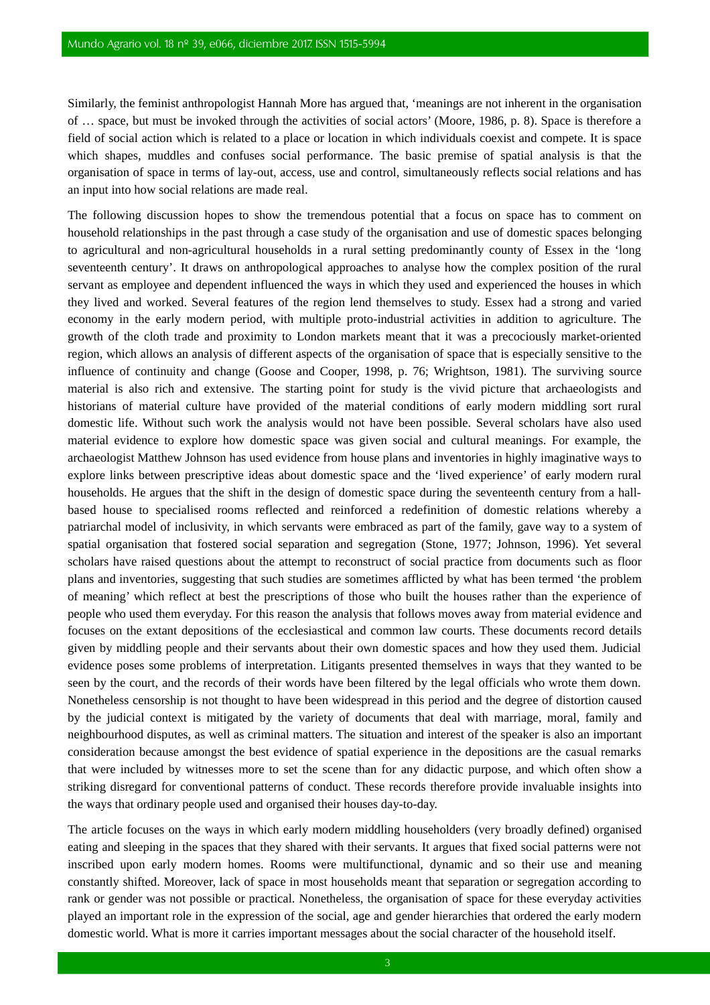Similarly, the feminist anthropologist Hannah More has argued that, 'meanings are not inherent in the organisation of … space, but must be invoked through the activities of social actors' (Moore, 1986, p. 8). Space is therefore a field of social action which is related to a place or location in which individuals coexist and compete. It is space which shapes, muddles and confuses social performance. The basic premise of spatial analysis is that the organisation of space in terms of lay-out, access, use and control, simultaneously reflects social relations and has an input into how social relations are made real.

The following discussion hopes to show the tremendous potential that a focus on space has to comment on household relationships in the past through a case study of the organisation and use of domestic spaces belonging to agricultural and non-agricultural households in a rural setting predominantly county of Essex in the 'long seventeenth century'. It draws on anthropological approaches to analyse how the complex position of the rural servant as employee and dependent influenced the ways in which they used and experienced the houses in which they lived and worked. Several features of the region lend themselves to study. Essex had a strong and varied economy in the early modern period, with multiple proto-industrial activities in addition to agriculture. The growth of the cloth trade and proximity to London markets meant that it was a precociously market-oriented region, which allows an analysis of different aspects of the organisation of space that is especially sensitive to the influence of continuity and change (Goose and Cooper, 1998, p. 76; Wrightson, 1981). The surviving source material is also rich and extensive. The starting point for study is the vivid picture that archaeologists and historians of material culture have provided of the material conditions of early modern middling sort rural domestic life. Without such work the analysis would not have been possible. Several scholars have also used material evidence to explore how domestic space was given social and cultural meanings. For example, the archaeologist Matthew Johnson has used evidence from house plans and inventories in highly imaginative ways to explore links between prescriptive ideas about domestic space and the 'lived experience' of early modern rural households. He argues that the shift in the design of domestic space during the seventeenth century from a hallbased house to specialised rooms reflected and reinforced a redefinition of domestic relations whereby a patriarchal model of inclusivity, in which servants were embraced as part of the family, gave way to a system of spatial organisation that fostered social separation and segregation (Stone, 1977; Johnson, 1996). Yet several scholars have raised questions about the attempt to reconstruct of social practice from documents such as floor plans and inventories, suggesting that such studies are sometimes afflicted by what has been termed 'the problem of meaning' which reflect at best the prescriptions of those who built the houses rather than the experience of people who used them everyday. For this reason the analysis that follows moves away from material evidence and focuses on the extant depositions of the ecclesiastical and common law courts. These documents record details given by middling people and their servants about their own domestic spaces and how they used them. Judicial evidence poses some problems of interpretation. Litigants presented themselves in ways that they wanted to be seen by the court, and the records of their words have been filtered by the legal officials who wrote them down. Nonetheless censorship is not thought to have been widespread in this period and the degree of distortion caused by the judicial context is mitigated by the variety of documents that deal with marriage, moral, family and neighbourhood disputes, as well as criminal matters. The situation and interest of the speaker is also an important consideration because amongst the best evidence of spatial experience in the depositions are the casual remarks that were included by witnesses more to set the scene than for any didactic purpose, and which often show a striking disregard for conventional patterns of conduct. These records therefore provide invaluable insights into the ways that ordinary people used and organised their houses day-to-day.

The article focuses on the ways in which early modern middling householders (very broadly defined) organised eating and sleeping in the spaces that they shared with their servants. It argues that fixed social patterns were not inscribed upon early modern homes. Rooms were multifunctional, dynamic and so their use and meaning constantly shifted. Moreover, lack of space in most households meant that separation or segregation according to rank or gender was not possible or practical. Nonetheless, the organisation of space for these everyday activities played an important role in the expression of the social, age and gender hierarchies that ordered the early modern domestic world. What is more it carries important messages about the social character of the household itself.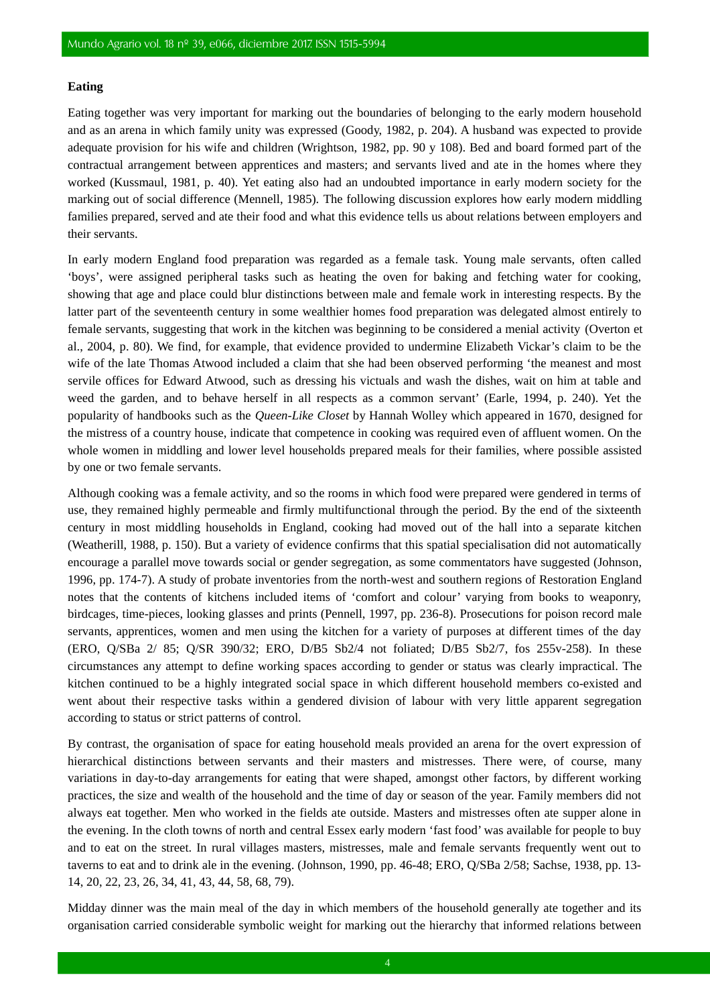#### **Eating**

Eating together was very important for marking out the boundaries of belonging to the early modern household and as an arena in which family unity was expressed (Goody, 1982, p. 204). A husband was expected to provide adequate provision for his wife and children (Wrightson, 1982, pp. 90 y 108). Bed and board formed part of the contractual arrangement between apprentices and masters; and servants lived and ate in the homes where they worked (Kussmaul, 1981, p. 40). Yet eating also had an undoubted importance in early modern society for the marking out of social difference (Mennell, 1985). The following discussion explores how early modern middling families prepared, served and ate their food and what this evidence tells us about relations between employers and their servants.

In early modern England food preparation was regarded as a female task. Young male servants, often called 'boys', were assigned peripheral tasks such as heating the oven for baking and fetching water for cooking, showing that age and place could blur distinctions between male and female work in interesting respects. By the latter part of the seventeenth century in some wealthier homes food preparation was delegated almost entirely to female servants, suggesting that work in the kitchen was beginning to be considered a menial activity (Overton et al., 2004, p. 80). We find, for example, that evidence provided to undermine Elizabeth Vickar's claim to be the wife of the late Thomas Atwood included a claim that she had been observed performing 'the meanest and most servile offices for Edward Atwood, such as dressing his victuals and wash the dishes, wait on him at table and weed the garden, and to behave herself in all respects as a common servant' (Earle, 1994, p. 240). Yet the popularity of handbooks such as the *Queen-Like Closet* by Hannah Wolley which appeared in 1670, designed for the mistress of a country house, indicate that competence in cooking was required even of affluent women. On the whole women in middling and lower level households prepared meals for their families, where possible assisted by one or two female servants.

Although cooking was a female activity, and so the rooms in which food were prepared were gendered in terms of use, they remained highly permeable and firmly multifunctional through the period. By the end of the sixteenth century in most middling households in England, cooking had moved out of the hall into a separate kitchen (Weatherill, 1988, p. 150). But a variety of evidence confirms that this spatial specialisation did not automatically encourage a parallel move towards social or gender segregation, as some commentators have suggested (Johnson, 1996, pp. 174-7). A study of probate inventories from the north-west and southern regions of Restoration England notes that the contents of kitchens included items of 'comfort and colour' varying from books to weaponry, birdcages, time-pieces, looking glasses and prints (Pennell, 1997, pp. 236-8). Prosecutions for poison record male servants, apprentices, women and men using the kitchen for a variety of purposes at different times of the day (ERO, Q/SBa 2/ 85; Q/SR 390/32; ERO, D/B5 Sb2/4 not foliated; D/B5 Sb2/7, fos 255v-258). In these circumstances any attempt to define working spaces according to gender or status was clearly impractical. The kitchen continued to be a highly integrated social space in which different household members co-existed and went about their respective tasks within a gendered division of labour with very little apparent segregation according to status or strict patterns of control.

By contrast, the organisation of space for eating household meals provided an arena for the overt expression of hierarchical distinctions between servants and their masters and mistresses. There were, of course, many variations in day-to-day arrangements for eating that were shaped, amongst other factors, by different working practices, the size and wealth of the household and the time of day or season of the year. Family members did not always eat together. Men who worked in the fields ate outside. Masters and mistresses often ate supper alone in the evening. In the cloth towns of north and central Essex early modern 'fast food' was available for people to buy and to eat on the street. In rural villages masters, mistresses, male and female servants frequently went out to taverns to eat and to drink ale in the evening. (Johnson, 1990, pp. 46-48; ERO, Q/SBa 2/58; Sachse, 1938, pp. 13- 14, 20, 22, 23, 26, 34, 41, 43, 44, 58, 68, 79).

Midday dinner was the main meal of the day in which members of the household generally ate together and its organisation carried considerable symbolic weight for marking out the hierarchy that informed relations between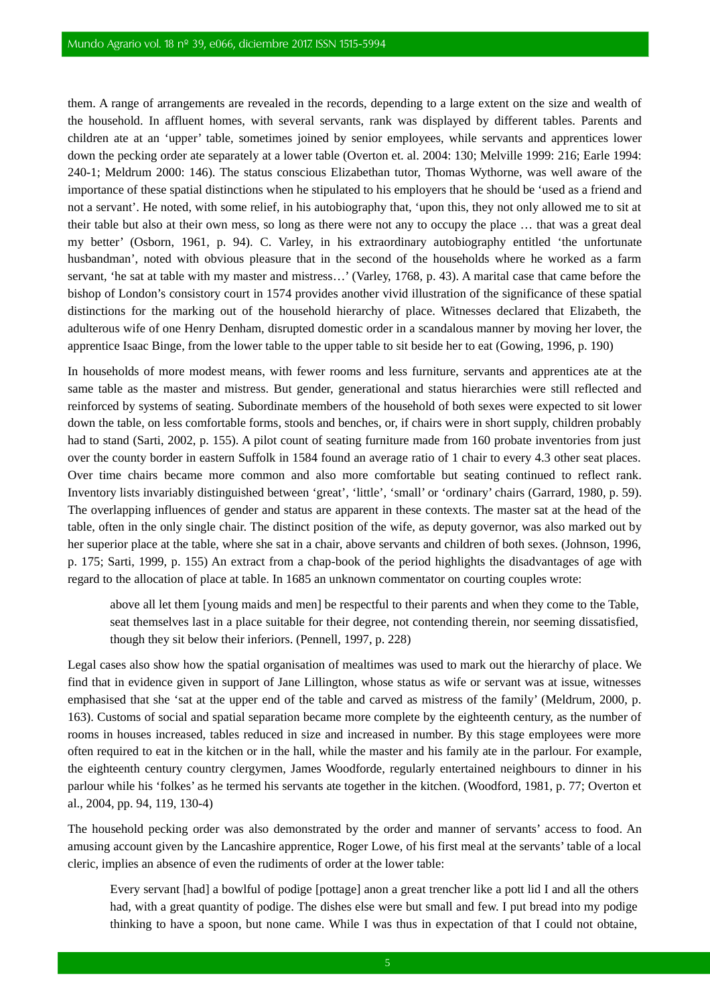them. A range of arrangements are revealed in the records, depending to a large extent on the size and wealth of the household. In affluent homes, with several servants, rank was displayed by different tables. Parents and children ate at an 'upper' table, sometimes joined by senior employees, while servants and apprentices lower down the pecking order ate separately at a lower table (Overton et. al. 2004: 130; Melville 1999: 216; Earle 1994: 240-1; Meldrum 2000: 146). The status conscious Elizabethan tutor, Thomas Wythorne, was well aware of the importance of these spatial distinctions when he stipulated to his employers that he should be 'used as a friend and not a servant'. He noted, with some relief, in his autobiography that, 'upon this, they not only allowed me to sit at their table but also at their own mess, so long as there were not any to occupy the place … that was a great deal my better' (Osborn, 1961, p. 94). C. Varley, in his extraordinary autobiography entitled 'the unfortunate husbandman', noted with obvious pleasure that in the second of the households where he worked as a farm servant, 'he sat at table with my master and mistress…' (Varley, 1768, p. 43). A marital case that came before the bishop of London's consistory court in 1574 provides another vivid illustration of the significance of these spatial distinctions for the marking out of the household hierarchy of place. Witnesses declared that Elizabeth, the adulterous wife of one Henry Denham, disrupted domestic order in a scandalous manner by moving her lover, the apprentice Isaac Binge, from the lower table to the upper table to sit beside her to eat (Gowing, 1996, p. 190)

In households of more modest means, with fewer rooms and less furniture, servants and apprentices ate at the same table as the master and mistress. But gender, generational and status hierarchies were still reflected and reinforced by systems of seating. Subordinate members of the household of both sexes were expected to sit lower down the table, on less comfortable forms, stools and benches, or, if chairs were in short supply, children probably had to stand (Sarti, 2002, p. 155). A pilot count of seating furniture made from 160 probate inventories from just over the county border in eastern Suffolk in 1584 found an average ratio of 1 chair to every 4.3 other seat places. Over time chairs became more common and also more comfortable but seating continued to reflect rank. Inventory lists invariably distinguished between 'great', 'little', 'small' or 'ordinary' chairs (Garrard, 1980, p. 59). The overlapping influences of gender and status are apparent in these contexts. The master sat at the head of the table, often in the only single chair. The distinct position of the wife, as deputy governor, was also marked out by her superior place at the table, where she sat in a chair, above servants and children of both sexes. (Johnson, 1996, p. 175; Sarti, 1999, p. 155) An extract from a chap-book of the period highlights the disadvantages of age with regard to the allocation of place at table. In 1685 an unknown commentator on courting couples wrote:

above all let them [young maids and men] be respectful to their parents and when they come to the Table, seat themselves last in a place suitable for their degree, not contending therein, nor seeming dissatisfied, though they sit below their inferiors. (Pennell, 1997, p. 228)

Legal cases also show how the spatial organisation of mealtimes was used to mark out the hierarchy of place. We find that in evidence given in support of Jane Lillington, whose status as wife or servant was at issue, witnesses emphasised that she 'sat at the upper end of the table and carved as mistress of the family' (Meldrum, 2000, p. 163). Customs of social and spatial separation became more complete by the eighteenth century, as the number of rooms in houses increased, tables reduced in size and increased in number. By this stage employees were more often required to eat in the kitchen or in the hall, while the master and his family ate in the parlour. For example, the eighteenth century country clergymen, James Woodforde, regularly entertained neighbours to dinner in his parlour while his 'folkes' as he termed his servants ate together in the kitchen. (Woodford, 1981, p. 77; Overton et al., 2004, pp. 94, 119, 130-4)

The household pecking order was also demonstrated by the order and manner of servants' access to food. An amusing account given by the Lancashire apprentice, Roger Lowe, of his first meal at the servants' table of a local cleric, implies an absence of even the rudiments of order at the lower table:

Every servant [had] a bowlful of podige [pottage] anon a great trencher like a pott lid I and all the others had, with a great quantity of podige. The dishes else were but small and few. I put bread into my podige thinking to have a spoon, but none came. While I was thus in expectation of that I could not obtaine,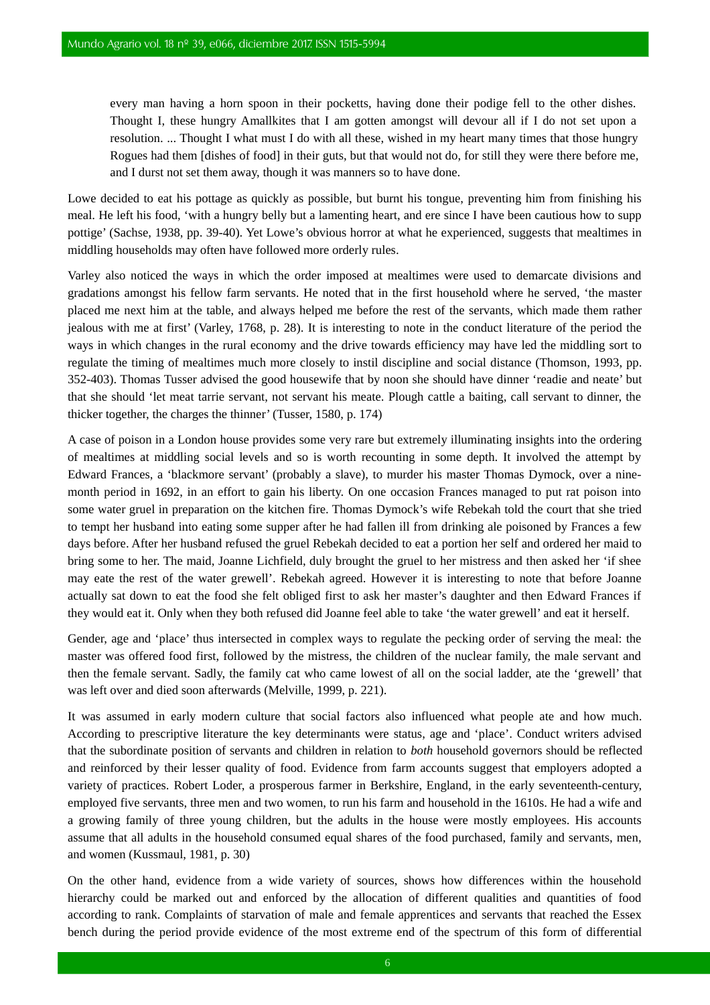every man having a horn spoon in their pocketts, having done their podige fell to the other dishes. Thought I, these hungry Amallkites that I am gotten amongst will devour all if I do not set upon a resolution. ... Thought I what must I do with all these, wished in my heart many times that those hungry Rogues had them [dishes of food] in their guts, but that would not do, for still they were there before me, and I durst not set them away, though it was manners so to have done.

Lowe decided to eat his pottage as quickly as possible, but burnt his tongue, preventing him from finishing his meal. He left his food, 'with a hungry belly but a lamenting heart, and ere since I have been cautious how to supp pottige' (Sachse, 1938, pp. 39-40). Yet Lowe's obvious horror at what he experienced, suggests that mealtimes in middling households may often have followed more orderly rules.

Varley also noticed the ways in which the order imposed at mealtimes were used to demarcate divisions and gradations amongst his fellow farm servants. He noted that in the first household where he served, 'the master placed me next him at the table, and always helped me before the rest of the servants, which made them rather jealous with me at first' (Varley, 1768, p. 28). It is interesting to note in the conduct literature of the period the ways in which changes in the rural economy and the drive towards efficiency may have led the middling sort to regulate the timing of mealtimes much more closely to instil discipline and social distance (Thomson, 1993, pp. 352-403). Thomas Tusser advised the good housewife that by noon she should have dinner 'readie and neate' but that she should 'let meat tarrie servant, not servant his meate. Plough cattle a baiting, call servant to dinner, the thicker together, the charges the thinner' (Tusser, 1580, p. 174)

A case of poison in a London house provides some very rare but extremely illuminating insights into the ordering of mealtimes at middling social levels and so is worth recounting in some depth. It involved the attempt by Edward Frances, a 'blackmore servant' (probably a slave), to murder his master Thomas Dymock, over a ninemonth period in 1692, in an effort to gain his liberty. On one occasion Frances managed to put rat poison into some water gruel in preparation on the kitchen fire. Thomas Dymock's wife Rebekah told the court that she tried to tempt her husband into eating some supper after he had fallen ill from drinking ale poisoned by Frances a few days before. After her husband refused the gruel Rebekah decided to eat a portion her self and ordered her maid to bring some to her. The maid, Joanne Lichfield, duly brought the gruel to her mistress and then asked her 'if shee may eate the rest of the water grewell'. Rebekah agreed. However it is interesting to note that before Joanne actually sat down to eat the food she felt obliged first to ask her master's daughter and then Edward Frances if they would eat it. Only when they both refused did Joanne feel able to take 'the water grewell' and eat it herself.

Gender, age and 'place' thus intersected in complex ways to regulate the pecking order of serving the meal: the master was offered food first, followed by the mistress, the children of the nuclear family, the male servant and then the female servant. Sadly, the family cat who came lowest of all on the social ladder, ate the 'grewell' that was left over and died soon afterwards (Melville, 1999, p. 221).

It was assumed in early modern culture that social factors also influenced what people ate and how much. According to prescriptive literature the key determinants were status, age and 'place'. Conduct writers advised that the subordinate position of servants and children in relation to *both* household governors should be reflected and reinforced by their lesser quality of food. Evidence from farm accounts suggest that employers adopted a variety of practices. Robert Loder, a prosperous farmer in Berkshire, England, in the early seventeenth-century, employed five servants, three men and two women, to run his farm and household in the 1610s. He had a wife and a growing family of three young children, but the adults in the house were mostly employees. His accounts assume that all adults in the household consumed equal shares of the food purchased, family and servants, men, and women (Kussmaul, 1981, p. 30)

On the other hand, evidence from a wide variety of sources, shows how differences within the household hierarchy could be marked out and enforced by the allocation of different qualities and quantities of food according to rank. Complaints of starvation of male and female apprentices and servants that reached the Essex bench during the period provide evidence of the most extreme end of the spectrum of this form of differential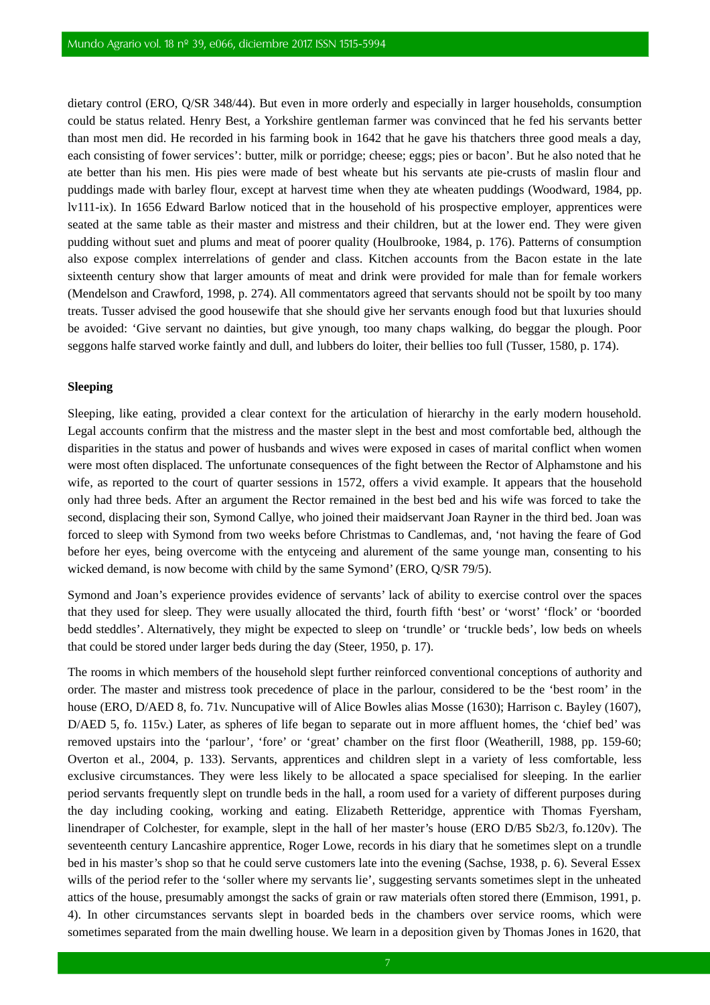dietary control (ERO, Q/SR 348/44). But even in more orderly and especially in larger households, consumption could be status related. Henry Best, a Yorkshire gentleman farmer was convinced that he fed his servants better than most men did. He recorded in his farming book in 1642 that he gave his thatchers three good meals a day, each consisting of fower services': butter, milk or porridge; cheese; eggs; pies or bacon'. But he also noted that he ate better than his men. His pies were made of best wheate but his servants ate pie-crusts of maslin flour and puddings made with barley flour, except at harvest time when they ate wheaten puddings (Woodward, 1984, pp. lv111-ix). In 1656 Edward Barlow noticed that in the household of his prospective employer, apprentices were seated at the same table as their master and mistress and their children, but at the lower end. They were given pudding without suet and plums and meat of poorer quality (Houlbrooke, 1984, p. 176). Patterns of consumption also expose complex interrelations of gender and class. Kitchen accounts from the Bacon estate in the late sixteenth century show that larger amounts of meat and drink were provided for male than for female workers (Mendelson and Crawford, 1998, p. 274). All commentators agreed that servants should not be spoilt by too many treats. Tusser advised the good housewife that she should give her servants enough food but that luxuries should be avoided: 'Give servant no dainties, but give ynough, too many chaps walking, do beggar the plough. Poor seggons halfe starved worke faintly and dull, and lubbers do loiter, their bellies too full (Tusser, 1580, p. 174).

#### **Sleeping**

Sleeping, like eating, provided a clear context for the articulation of hierarchy in the early modern household. Legal accounts confirm that the mistress and the master slept in the best and most comfortable bed, although the disparities in the status and power of husbands and wives were exposed in cases of marital conflict when women were most often displaced. The unfortunate consequences of the fight between the Rector of Alphamstone and his wife, as reported to the court of quarter sessions in 1572, offers a vivid example. It appears that the household only had three beds. After an argument the Rector remained in the best bed and his wife was forced to take the second, displacing their son, Symond Callye, who joined their maidservant Joan Rayner in the third bed. Joan was forced to sleep with Symond from two weeks before Christmas to Candlemas, and, 'not having the feare of God before her eyes, being overcome with the entyceing and alurement of the same younge man, consenting to his wicked demand, is now become with child by the same Symond' (ERO, Q/SR 79/5).

Symond and Joan's experience provides evidence of servants' lack of ability to exercise control over the spaces that they used for sleep. They were usually allocated the third, fourth fifth 'best' or 'worst' 'flock' or 'boorded bedd steddles'. Alternatively, they might be expected to sleep on 'trundle' or 'truckle beds', low beds on wheels that could be stored under larger beds during the day (Steer, 1950, p. 17).

The rooms in which members of the household slept further reinforced conventional conceptions of authority and order. The master and mistress took precedence of place in the parlour, considered to be the 'best room' in the house (ERO, D/AED 8, fo. 71v. Nuncupative will of Alice Bowles alias Mosse (1630); Harrison c. Bayley (1607), D/AED 5, fo. 115v.) Later, as spheres of life began to separate out in more affluent homes, the 'chief bed' was removed upstairs into the 'parlour', 'fore' or 'great' chamber on the first floor (Weatherill, 1988, pp. 159-60; Overton et al., 2004, p. 133). Servants, apprentices and children slept in a variety of less comfortable, less exclusive circumstances. They were less likely to be allocated a space specialised for sleeping. In the earlier period servants frequently slept on trundle beds in the hall, a room used for a variety of different purposes during the day including cooking, working and eating. Elizabeth Retteridge, apprentice with Thomas Fyersham, linendraper of Colchester, for example, slept in the hall of her master's house (ERO D/B5 Sb2/3, fo.120v). The seventeenth century Lancashire apprentice, Roger Lowe, records in his diary that he sometimes slept on a trundle bed in his master's shop so that he could serve customers late into the evening (Sachse, 1938, p. 6). Several Essex wills of the period refer to the 'soller where my servants lie', suggesting servants sometimes slept in the unheated attics of the house, presumably amongst the sacks of grain or raw materials often stored there (Emmison, 1991, p. 4). In other circumstances servants slept in boarded beds in the chambers over service rooms, which were sometimes separated from the main dwelling house. We learn in a deposition given by Thomas Jones in 1620, that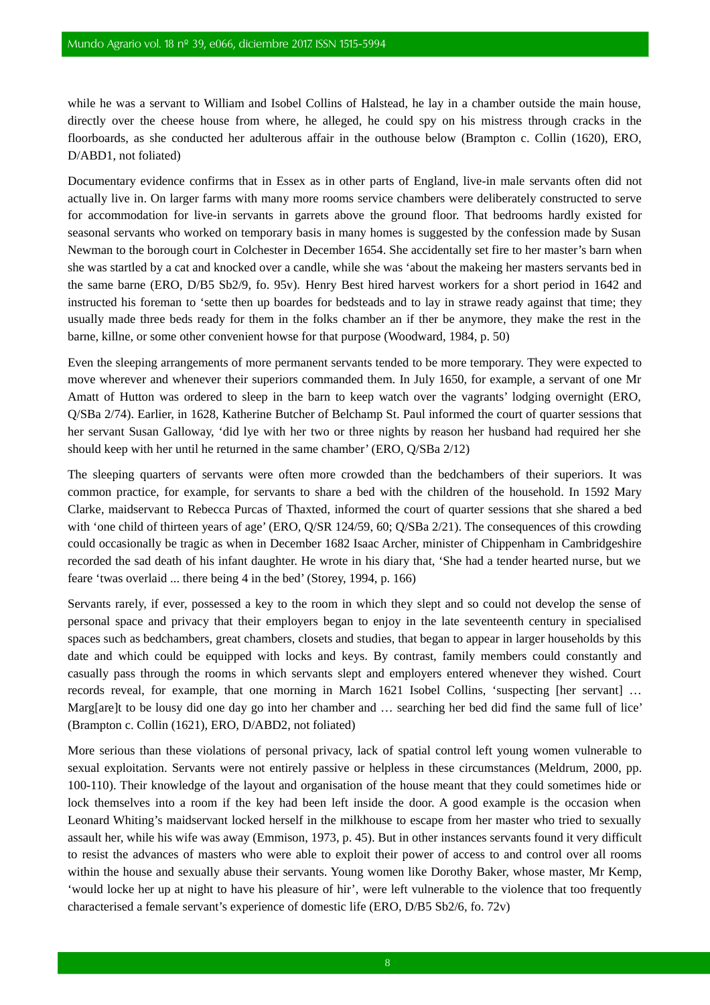while he was a servant to William and Isobel Collins of Halstead, he lay in a chamber outside the main house, directly over the cheese house from where, he alleged, he could spy on his mistress through cracks in the floorboards, as she conducted her adulterous affair in the outhouse below (Brampton c. Collin (1620), ERO, D/ABD1, not foliated)

Documentary evidence confirms that in Essex as in other parts of England, live-in male servants often did not actually live in. On larger farms with many more rooms service chambers were deliberately constructed to serve for accommodation for live-in servants in garrets above the ground floor. That bedrooms hardly existed for seasonal servants who worked on temporary basis in many homes is suggested by the confession made by Susan Newman to the borough court in Colchester in December 1654. She accidentally set fire to her master's barn when she was startled by a cat and knocked over a candle, while she was 'about the makeing her masters servants bed in the same barne (ERO, D/B5 Sb2/9, fo. 95v). Henry Best hired harvest workers for a short period in 1642 and instructed his foreman to 'sette then up boardes for bedsteads and to lay in strawe ready against that time; they usually made three beds ready for them in the folks chamber an if ther be anymore, they make the rest in the barne, killne, or some other convenient howse for that purpose (Woodward, 1984, p. 50)

Even the sleeping arrangements of more permanent servants tended to be more temporary. They were expected to move wherever and whenever their superiors commanded them. In July 1650, for example, a servant of one Mr Amatt of Hutton was ordered to sleep in the barn to keep watch over the vagrants' lodging overnight (ERO, Q/SBa 2/74). Earlier, in 1628, Katherine Butcher of Belchamp St. Paul informed the court of quarter sessions that her servant Susan Galloway, 'did lye with her two or three nights by reason her husband had required her she should keep with her until he returned in the same chamber' (ERO, Q/SBa 2/12)

The sleeping quarters of servants were often more crowded than the bedchambers of their superiors. It was common practice, for example, for servants to share a bed with the children of the household. In 1592 Mary Clarke, maidservant to Rebecca Purcas of Thaxted, informed the court of quarter sessions that she shared a bed with 'one child of thirteen years of age' (ERO, Q/SR 124/59, 60; Q/SBa 2/21). The consequences of this crowding could occasionally be tragic as when in December 1682 Isaac Archer, minister of Chippenham in Cambridgeshire recorded the sad death of his infant daughter. He wrote in his diary that, 'She had a tender hearted nurse, but we feare 'twas overlaid ... there being 4 in the bed' (Storey, 1994, p. 166)

Servants rarely, if ever, possessed a key to the room in which they slept and so could not develop the sense of personal space and privacy that their employers began to enjoy in the late seventeenth century in specialised spaces such as bedchambers, great chambers, closets and studies, that began to appear in larger households by this date and which could be equipped with locks and keys. By contrast, family members could constantly and casually pass through the rooms in which servants slept and employers entered whenever they wished. Court records reveal, for example, that one morning in March 1621 Isobel Collins, 'suspecting [her servant] … Marg[are]t to be lousy did one day go into her chamber and … searching her bed did find the same full of lice' (Brampton c. Collin (1621), ERO, D/ABD2, not foliated)

More serious than these violations of personal privacy, lack of spatial control left young women vulnerable to sexual exploitation. Servants were not entirely passive or helpless in these circumstances (Meldrum, 2000, pp. 100-110). Their knowledge of the layout and organisation of the house meant that they could sometimes hide or lock themselves into a room if the key had been left inside the door. A good example is the occasion when Leonard Whiting's maidservant locked herself in the milkhouse to escape from her master who tried to sexually assault her, while his wife was away (Emmison, 1973, p. 45). But in other instances servants found it very difficult to resist the advances of masters who were able to exploit their power of access to and control over all rooms within the house and sexually abuse their servants. Young women like Dorothy Baker, whose master, Mr Kemp, 'would locke her up at night to have his pleasure of hir', were left vulnerable to the violence that too frequently characterised a female servant's experience of domestic life (ERO, D/B5 Sb2/6, fo. 72v)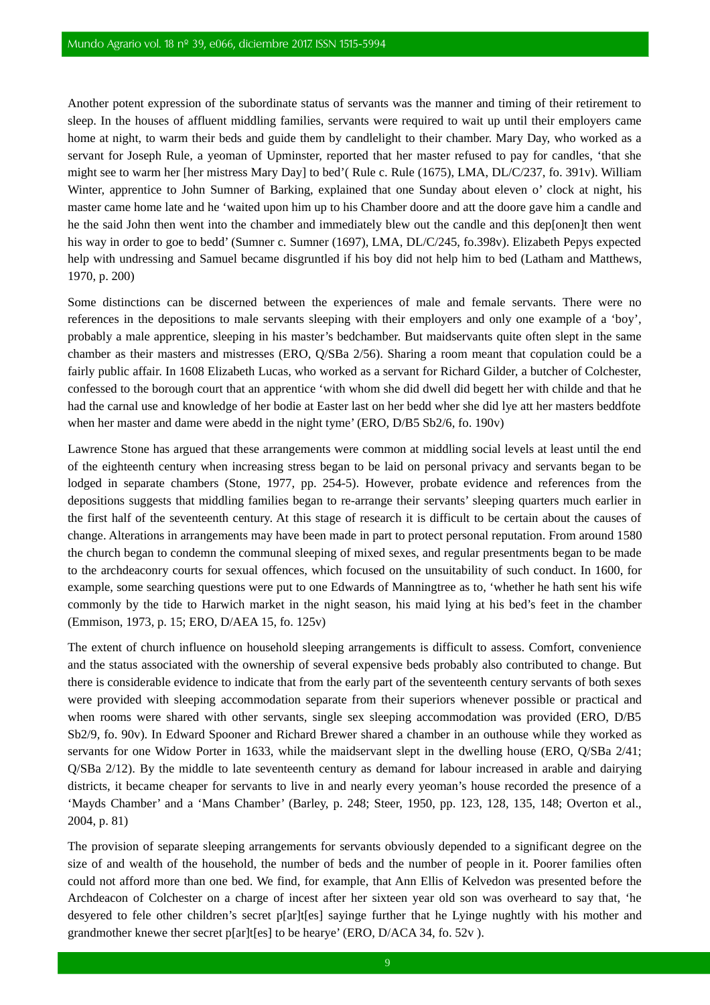Another potent expression of the subordinate status of servants was the manner and timing of their retirement to sleep. In the houses of affluent middling families, servants were required to wait up until their employers came home at night, to warm their beds and guide them by candlelight to their chamber. Mary Day, who worked as a servant for Joseph Rule, a yeoman of Upminster, reported that her master refused to pay for candles, 'that she might see to warm her [her mistress Mary Day] to bed'( Rule c. Rule (1675), LMA, DL/C/237, fo. 391v). William Winter, apprentice to John Sumner of Barking, explained that one Sunday about eleven o' clock at night, his master came home late and he 'waited upon him up to his Chamber doore and att the doore gave him a candle and he the said John then went into the chamber and immediately blew out the candle and this dep[onen]t then went his way in order to goe to bedd' (Sumner c. Sumner (1697), LMA, DL/C/245, fo.398v). Elizabeth Pepys expected help with undressing and Samuel became disgruntled if his boy did not help him to bed (Latham and Matthews, 1970, p. 200)

Some distinctions can be discerned between the experiences of male and female servants. There were no references in the depositions to male servants sleeping with their employers and only one example of a 'boy', probably a male apprentice, sleeping in his master's bedchamber. But maidservants quite often slept in the same chamber as their masters and mistresses (ERO, Q/SBa 2/56). Sharing a room meant that copulation could be a fairly public affair. In 1608 Elizabeth Lucas, who worked as a servant for Richard Gilder, a butcher of Colchester, confessed to the borough court that an apprentice 'with whom she did dwell did begett her with childe and that he had the carnal use and knowledge of her bodie at Easter last on her bedd wher she did lye att her masters beddfote when her master and dame were abedd in the night tyme' (ERO, D/B5 Sb2/6, fo. 190v)

Lawrence Stone has argued that these arrangements were common at middling social levels at least until the end of the eighteenth century when increasing stress began to be laid on personal privacy and servants began to be lodged in separate chambers (Stone, 1977, pp. 254-5). However, probate evidence and references from the depositions suggests that middling families began to re-arrange their servants' sleeping quarters much earlier in the first half of the seventeenth century. At this stage of research it is difficult to be certain about the causes of change. Alterations in arrangements may have been made in part to protect personal reputation. From around 1580 the church began to condemn the communal sleeping of mixed sexes, and regular presentments began to be made to the archdeaconry courts for sexual offences, which focused on the unsuitability of such conduct. In 1600, for example, some searching questions were put to one Edwards of Manningtree as to, 'whether he hath sent his wife commonly by the tide to Harwich market in the night season, his maid lying at his bed's feet in the chamber (Emmison, 1973, p. 15; ERO, D/AEA 15, fo. 125v)

The extent of church influence on household sleeping arrangements is difficult to assess. Comfort, convenience and the status associated with the ownership of several expensive beds probably also contributed to change. But there is considerable evidence to indicate that from the early part of the seventeenth century servants of both sexes were provided with sleeping accommodation separate from their superiors whenever possible or practical and when rooms were shared with other servants, single sex sleeping accommodation was provided (ERO, D/B5 Sb2/9, fo. 90v). In Edward Spooner and Richard Brewer shared a chamber in an outhouse while they worked as servants for one Widow Porter in 1633, while the maidservant slept in the dwelling house (ERO, Q/SBa 2/41; Q/SBa 2/12). By the middle to late seventeenth century as demand for labour increased in arable and dairying districts, it became cheaper for servants to live in and nearly every yeoman's house recorded the presence of a 'Mayds Chamber' and a 'Mans Chamber' (Barley, p. 248; Steer, 1950, pp. 123, 128, 135, 148; Overton et al., 2004, p. 81)

The provision of separate sleeping arrangements for servants obviously depended to a significant degree on the size of and wealth of the household, the number of beds and the number of people in it. Poorer families often could not afford more than one bed. We find, for example, that Ann Ellis of Kelvedon was presented before the Archdeacon of Colchester on a charge of incest after her sixteen year old son was overheard to say that, 'he desyered to fele other children's secret p[ar]t[es] sayinge further that he Lyinge nughtly with his mother and grandmother knewe ther secret p[ar]t[es] to be hearye' (ERO, D/ACA 34, fo. 52v ).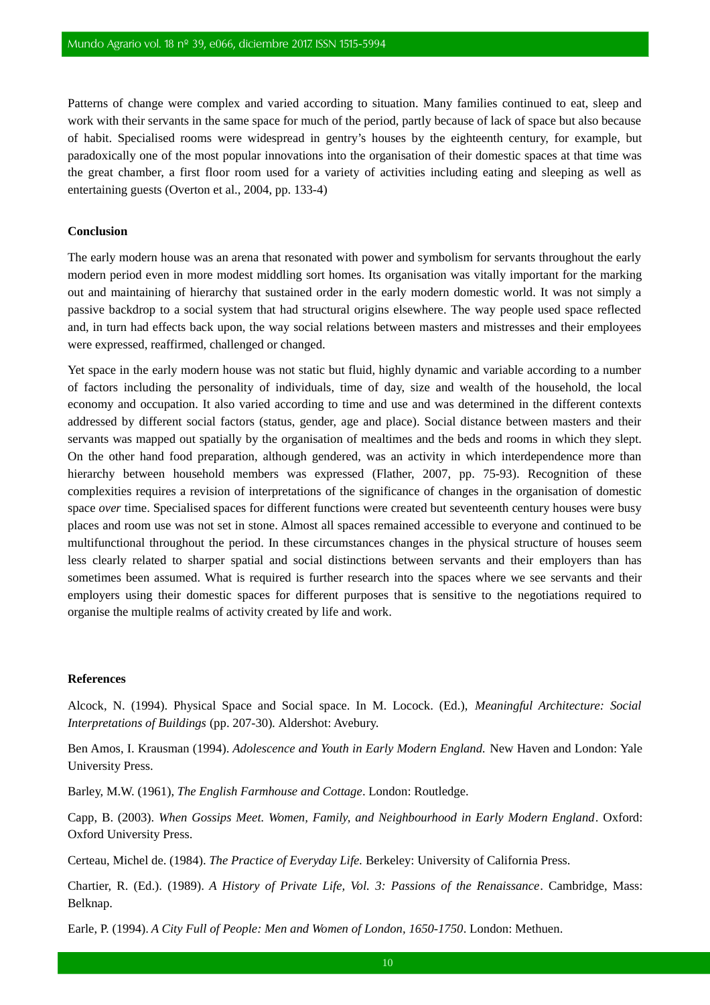Patterns of change were complex and varied according to situation. Many families continued to eat, sleep and work with their servants in the same space for much of the period, partly because of lack of space but also because of habit. Specialised rooms were widespread in gentry's houses by the eighteenth century, for example, but paradoxically one of the most popular innovations into the organisation of their domestic spaces at that time was the great chamber, a first floor room used for a variety of activities including eating and sleeping as well as entertaining guests (Overton et al., 2004, pp. 133-4)

#### **Conclusion**

The early modern house was an arena that resonated with power and symbolism for servants throughout the early modern period even in more modest middling sort homes. Its organisation was vitally important for the marking out and maintaining of hierarchy that sustained order in the early modern domestic world. It was not simply a passive backdrop to a social system that had structural origins elsewhere. The way people used space reflected and, in turn had effects back upon, the way social relations between masters and mistresses and their employees were expressed, reaffirmed, challenged or changed.

Yet space in the early modern house was not static but fluid, highly dynamic and variable according to a number of factors including the personality of individuals, time of day, size and wealth of the household, the local economy and occupation. It also varied according to time and use and was determined in the different contexts addressed by different social factors (status, gender, age and place). Social distance between masters and their servants was mapped out spatially by the organisation of mealtimes and the beds and rooms in which they slept. On the other hand food preparation, although gendered, was an activity in which interdependence more than hierarchy between household members was expressed (Flather, 2007, pp. 75-93). Recognition of these complexities requires a revision of interpretations of the significance of changes in the organisation of domestic space *over* time. Specialised spaces for different functions were created but seventeenth century houses were busy places and room use was not set in stone. Almost all spaces remained accessible to everyone and continued to be multifunctional throughout the period. In these circumstances changes in the physical structure of houses seem less clearly related to sharper spatial and social distinctions between servants and their employers than has sometimes been assumed. What is required is further research into the spaces where we see servants and their employers using their domestic spaces for different purposes that is sensitive to the negotiations required to organise the multiple realms of activity created by life and work.

#### **References**

Alcock, N. (1994). Physical Space and Social space. In M. Locock. (Ed.), *Meaningful Architecture: Social Interpretations of Buildings* (pp. 207-30)*.* Aldershot: Avebury.

Ben Amos, I. Krausman (1994). *Adolescence and Youth in Early Modern England.* New Haven and London: Yale University Press.

Barley, M.W. (1961), *The English Farmhouse and Cottage*. London: Routledge.

Capp, B. (2003). *When Gossips Meet. Women, Family, and Neighbourhood in Early Modern England*. Oxford: Oxford University Press.

Certeau, Michel de. (1984). *The Practice of Everyday Life.* Berkeley: University of California Press.

Chartier, R. (Ed.). (1989). *A History of Private Life, Vol. 3: Passions of the Renaissance*. Cambridge, Mass: Belknap.

Earle, P. (1994). *A City Full of People: Men and Women of London, 1650-1750*. London: Methuen.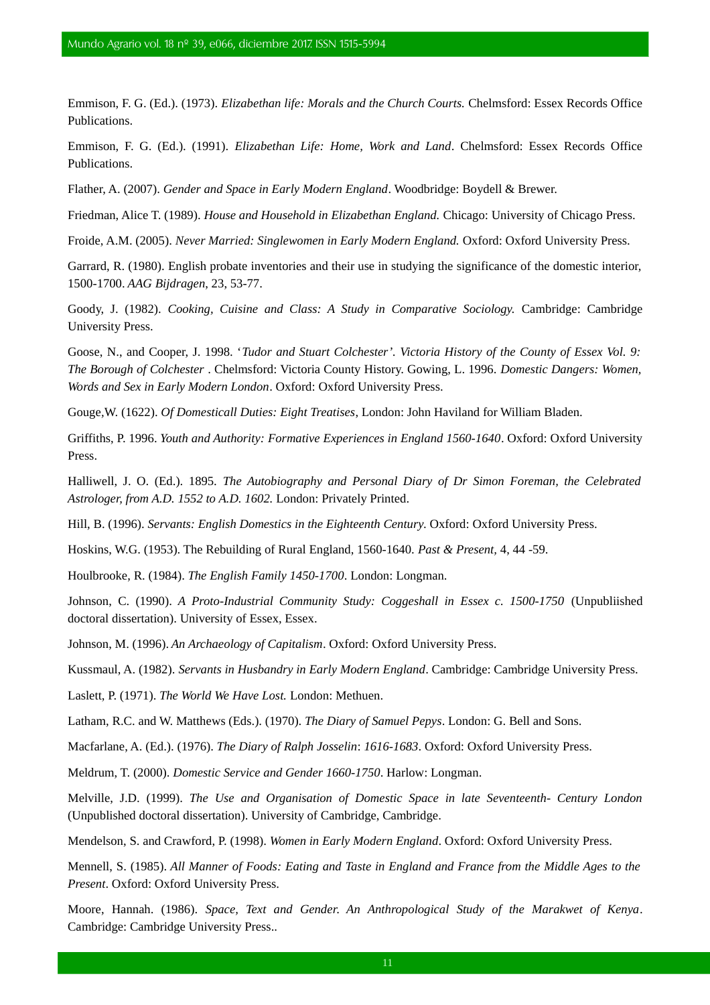Emmison, F. G. (Ed.). (1973). *Elizabethan life: Morals and the Church Courts.* Chelmsford: Essex Records Office Publications.

Emmison, F. G. (Ed.). (1991). *Elizabethan Life: Home, Work and Land*. Chelmsford: Essex Records Office Publications.

Flather, A. (2007). *Gender and Space in Early Modern England*. Woodbridge: Boydell & Brewer.

Friedman, Alice T. (1989). *House and Household in Elizabethan England.* Chicago: University of Chicago Press.

Froide, A.M. (2005). *Never Married: Singlewomen in Early Modern England.* Oxford: Oxford University Press.

Garrard, R. (1980). English probate inventories and their use in studying the significance of the domestic interior, 1500-1700. *AAG Bijdragen*, 23, 53-77.

Goody, J. (1982). *Cooking, Cuisine and Class: A Study in Comparative Sociology.* Cambridge: Cambridge University Press.

Goose, N., and Cooper, J. 1998. '*Tudor and Stuart Colchester'. Victoria History of the County of Essex Vol. 9: The Borough of Colchester* . Chelmsford: Victoria County History. Gowing, L. 1996. *Domestic Dangers: Women, Words and Sex in Early Modern London*. Oxford: Oxford University Press.

Gouge*,*W. (1622). *Of Domesticall Duties: Eight Treatises*, London: John Haviland for William Bladen.

Griffiths, P. 1996. *Youth and Authority: Formative Experiences in England 1560-1640*. Oxford: Oxford University Press.

Halliwell, J. O. (Ed.). 1895. *The Autobiography and Personal Diary of Dr Simon Foreman, the Celebrated Astrologer, from A.D. 1552 to A.D. 1602.* London: Privately Printed.

Hill, B. (1996). *Servants: English Domestics in the Eighteenth Century*. Oxford: Oxford University Press.

Hoskins, W.G. (1953). The Rebuilding of Rural England, 1560-1640. *Past & Present,* 4, 44 -59.

Houlbrooke, R. (1984). *The English Family 1450-1700*. London: Longman.

Johnson, C. (1990). *A Proto-Industrial Community Study: Coggeshall in Essex c. 1500-1750* (Unpubliished doctoral dissertation). University of Essex, Essex.

Johnson, M. (1996). *An Archaeology of Capitalism*. Oxford: Oxford University Press.

Kussmaul, A. (1982). *Servants in Husbandry in Early Modern England*. Cambridge: Cambridge University Press.

Laslett, P. (1971). *The World We Have Lost.* London: Methuen.

Latham, R.C. and W. Matthews (Eds.). (1970). *The Diary of Samuel Pepys*. London: G. Bell and Sons.

Macfarlane, A. (Ed.). (1976). *The Diary of Ralph Josselin*: *1616-1683*. Oxford: Oxford University Press.

Meldrum, T. (2000). *Domestic Service and Gender 1660-1750*. Harlow: Longman.

Melville, J.D. (1999). *The Use and Organisation of Domestic Space in late Seventeenth- Century London* (Unpublished doctoral dissertation). University of Cambridge, Cambridge.

Mendelson, S. and Crawford, P. (1998). *Women in Early Modern England*. Oxford: Oxford University Press.

Mennell, S. (1985). *All Manner of Foods: Eating and Taste in England and France from the Middle Ages to the Present*. Oxford: Oxford University Press.

Moore, Hannah. (1986). *Space, Text and Gender*. *An Anthropological Study of the Marakwet of Kenya*. Cambridge: Cambridge University Press..